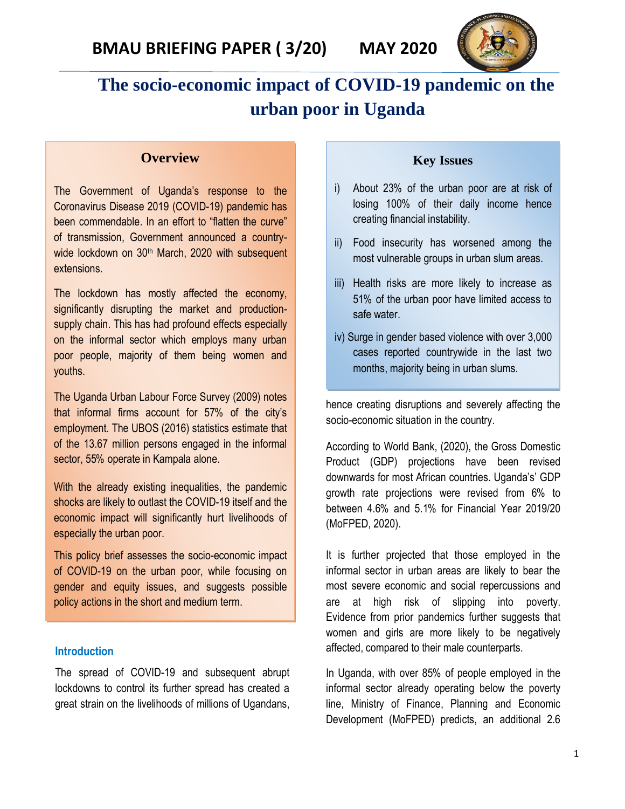

# **The socio-economic impact of COVID-19 pandemic on the urban poor in Uganda**

#### **Overview**

The Government of Uganda's response to the Coronavirus Disease 2019 (COVID-19) pandemic has been commendable. In an effort to "flatten the curve" of transmission, Government announced a countrywide lockdown on 30<sup>th</sup> March, 2020 with subsequent extensions.

The lockdown has mostly affected the economy, significantly disrupting the market and productionsupply chain. This has had profound effects especially on the informal sector which employs many urban poor people, majority of them being women and youths.

The Uganda Urban Labour Force Survey (2009) notes that informal firms account for 57% of the city's employment. The UBOS (2016) statistics estimate that of the 13.67 million persons engaged in the informal sector, 55% operate in Kampala alone.

With the already existing inequalities, the pandemic shocks are likely to outlast the COVID-19 itself and the economic impact will significantly hurt livelihoods of especially the urban poor.

This policy brief assesses the socio-economic impact of COVID-19 on the urban poor, while focusing on gender and equity issues, and suggests possible policy actions in the short and medium term.

#### **Introduction**

The spread of COVID-19 and subsequent abrupt lockdowns to control its further spread has created a great strain on the livelihoods of millions of Ugandans,

#### **Key Issues**

- i) About 23% of the urban poor are at risk of losing 100% of their daily income hence creating financial instability.
- ii) Food insecurity has worsened among the most vulnerable groups in urban slum areas.
- iii) Health risks are more likely to increase as 51% of the urban poor have limited access to safe water.
- iv) Surge in gender based violence with over 3,000 cases reported countrywide in the last two months, majority being in urban slums.

hence creating disruptions and severely affecting the socio-economic situation in the country.

According to World Bank, (2020), the Gross Domestic Product (GDP) projections have been revised downwards for most African countries. Uganda's' GDP growth rate projections were revised from 6% to between 4.6% and 5.1% for Financial Year 2019/20 (MoFPED, 2020).

It is further projected that those employed in the informal sector in urban areas are likely to bear the most severe economic and social repercussions and are at high risk of slipping into poverty. Evidence from prior pandemics further suggests that women and girls are more likely to be negatively affected, compared to their male counterparts.

In Uganda, with over 85% of people employed in the informal sector already operating below the poverty line, Ministry of Finance, Planning and Economic Development (MoFPED) predicts, an additional 2.6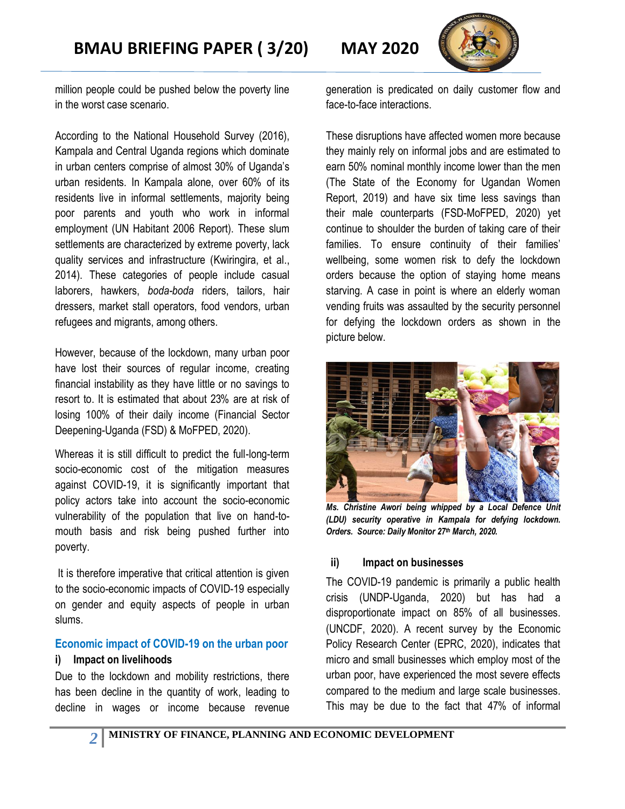

million people could be pushed below the poverty line in the worst case scenario.

According to the National Household Survey (2016), Kampala and Central Uganda regions which dominate in urban centers comprise of almost 30% of Uganda's urban residents. In Kampala alone, over 60% of its residents live in informal settlements, majority being poor parents and youth who work in informal employment (UN Habitant 2006 Report). These slum settlements are characterized by extreme poverty, lack quality services and infrastructure (Kwiringira, et al., 2014). These categories of people include casual laborers, hawkers, *boda-boda* riders, tailors, hair dressers, market stall operators, food vendors, urban refugees and migrants, among others.

However, because of the lockdown, many urban poor have lost their sources of regular income, creating financial instability as they have little or no savings to resort to. It is estimated that about 23% are at risk of losing 100% of their daily income (Financial Sector Deepening-Uganda (FSD) & MoFPED, 2020).

Whereas it is still difficult to predict the full-long-term socio-economic cost of the mitigation measures against COVID-19, it is significantly important that policy actors take into account the socio-economic vulnerability of the population that live on hand-tomouth basis and risk being pushed further into poverty.

It is therefore imperative that critical attention is given to the socio-economic impacts of COVID-19 especially on gender and equity aspects of people in urban slums.

### **Economic impact of COVID-19 on the urban poor**

#### **i) Impact on livelihoods**

*2*

Due to the lockdown and mobility restrictions, there has been decline in the quantity of work, leading to decline in wages or income because revenue generation is predicated on daily customer flow and face-to-face interactions.

These disruptions have affected women more because they mainly rely on informal jobs and are estimated to earn 50% nominal monthly income lower than the men (The State of the Economy for Ugandan Women Report, 2019) and have six time less savings than their male counterparts (FSD-MoFPED, 2020) yet continue to shoulder the burden of taking care of their families. To ensure continuity of their families' wellbeing, some women risk to defy the lockdown orders because the option of staying home means starving. A case in point is where an elderly woman vending fruits was assaulted by the security personnel for defying the lockdown orders as shown in the picture below.



*Ms. Christine Awori being whipped by a Local Defence Unit (LDU) security operative in Kampala for defying lockdown. Orders. Source: Daily Monitor 27th March, 2020.*

### **ii) Impact on businesses**

The COVID-19 pandemic is primarily a public health crisis (UNDP-Uganda, 2020) but has had a disproportionate impact on 85% of all businesses. (UNCDF, 2020). A recent survey by the Economic Policy Research Center (EPRC, 2020), indicates that micro and small businesses which employ most of the urban poor, have experienced the most severe effects compared to the medium and large scale businesses. This may be due to the fact that 47% of informal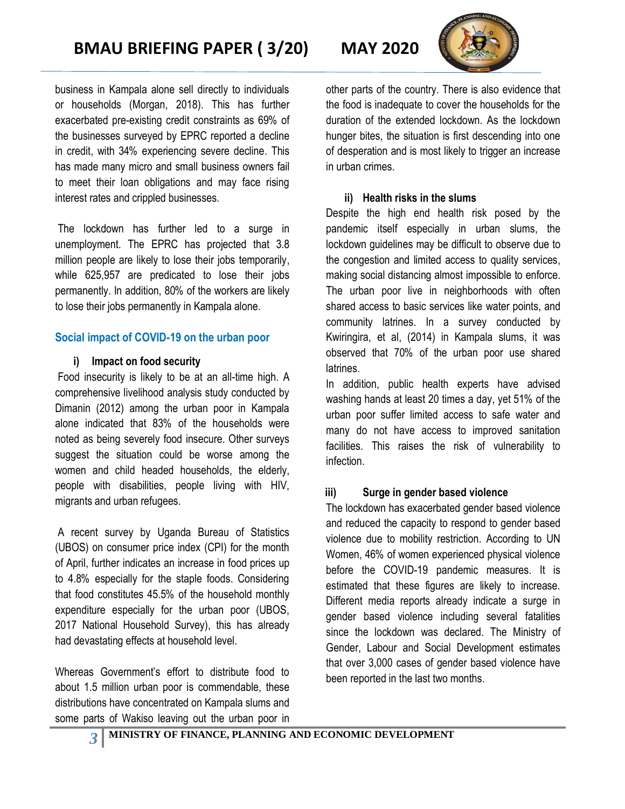

business in Kampala alone sell directly to individuals or households (Morgan, 2018). This has further exacerbated pre-existing credit constraints as 69% of the businesses surveyed by EPRC reported a decline in credit, with 34% experiencing severe decline. This has made many micro and small business owners fail to meet their loan obligations and may face rising interest rates and crippled businesses.

The lockdown has further led to a surge in unemployment. The EPRC has projected that 3.8 million people are likely to lose their jobs temporarily, while 625,957 are predicated to lose their jobs permanently. In addition, 80% of the workers are likely to lose their jobs permanently in Kampala alone.

### **Social impact of COVID-19 on the urban poor**

### **i) Impact on food security**

Food insecurity is likely to be at an all-time high. A comprehensive livelihood analysis study conducted by Dimanin (2012) among the urban poor in Kampala alone indicated that 83% of the households were noted as being severely food insecure. Other surveys suggest the situation could be worse among the women and child headed households, the elderly, people with disabilities, people living with HIV, migrants and urban refugees.

A recent survey by Uganda Bureau of Statistics (UBOS) on consumer price index (CPI) for the month of April, further indicates an increase in food prices up to 4.8% especially for the staple foods. Considering that food constitutes 45.5% of the household monthly expenditure especially for the urban poor (UBOS, 2017 National Household Survey), this has already had devastating effects at household level.

Whereas Government's effort to distribute food to about 1.5 million urban poor is commendable, these distributions have concentrated on Kampala slums and some parts of Wakiso leaving out the urban poor in other parts of the country. There is also evidence that the food is inadequate to cover the households for the duration of the extended lockdown. As the lockdown hunger bites, the situation is first descending into one of desperation and is most likely to trigger an increase in urban crimes.

### **ii) Health risks in the slums**

Despite the high end health risk posed by the pandemic itself especially in urban slums, the lockdown guidelines may be difficult to observe due to the congestion and limited access to quality services, making social distancing almost impossible to enforce. The urban poor live in neighborhoods with often shared access to basic services like water points, and community latrines. In a survey conducted by Kwiringira, et al, (2014) in Kampala slums, it was observed that 70% of the urban poor use shared latrines.

In addition, public health experts have advised washing hands at least 20 times a day, yet 51% of the urban poor suffer limited access to safe water and many do not have access to improved sanitation facilities. This raises the risk of vulnerability to infection.

### **iii) Surge in gender based violence**

The lockdown has exacerbated gender based violence and reduced the capacity to respond to gender based violence due to mobility restriction. According to UN Women, 46% of women experienced physical violence before the COVID-19 pandemic measures. It is estimated that these figures are likely to increase. Different media reports already indicate a surge in gender based violence including several fatalities since the lockdown was declared. The Ministry of Gender, Labour and Social Development estimates that over 3,000 cases of gender based violence have been reported in the last two months.